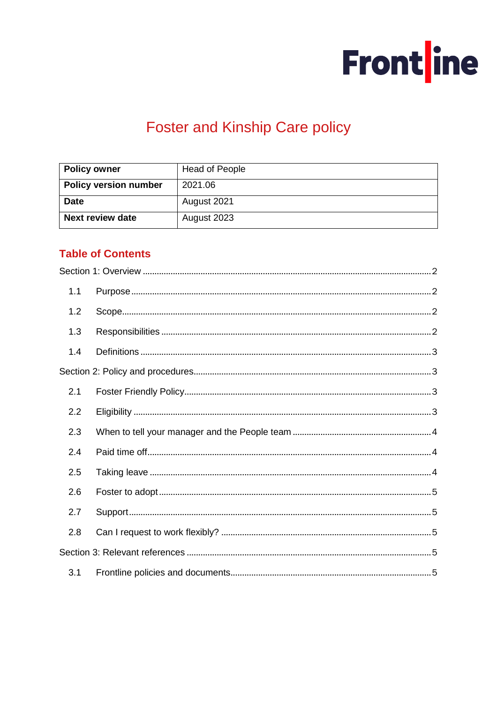

# **Foster and Kinship Care policy**

| <b>Policy owner</b>          | <b>Head of People</b> |
|------------------------------|-----------------------|
| <b>Policy version number</b> | 2021.06               |
| <b>Date</b>                  | August 2021           |
| <b>Next review date</b>      | August 2023           |

# **Table of Contents**

| 1.1 |  |
|-----|--|
| 1.2 |  |
| 1.3 |  |
| 1.4 |  |
|     |  |
| 2.1 |  |
| 2.2 |  |
| 2.3 |  |
| 2.4 |  |
| 2.5 |  |
| 2.6 |  |
| 2.7 |  |
| 2.8 |  |
|     |  |
| 3.1 |  |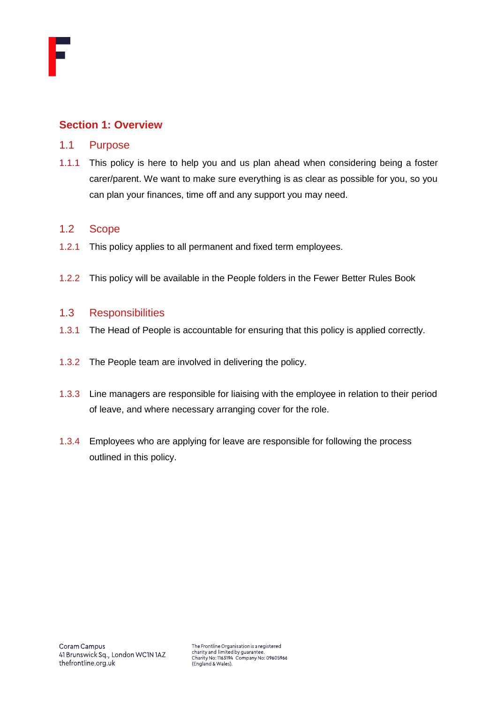

# <span id="page-1-0"></span>**Section 1: Overview**

#### <span id="page-1-1"></span>1.1 Purpose

1.1.1 This policy is here to help you and us plan ahead when considering being a foster carer/parent. We want to make sure everything is as clear as possible for you, so you can plan your finances, time off and any support you may need.

### <span id="page-1-2"></span>1.2 Scope

- 1.2.1 This policy applies to all permanent and fixed term employees.
- 1.2.2 This policy will be available in the People folders in the Fewer Better Rules Book

#### <span id="page-1-3"></span>1.3 Responsibilities

- 1.3.1 The Head of People is accountable for ensuring that this policy is applied correctly.
- 1.3.2 The People team are involved in delivering the policy.
- 1.3.3 Line managers are responsible for liaising with the employee in relation to their period of leave, and where necessary arranging cover for the role.
- 1.3.4 Employees who are applying for leave are responsible for following the process outlined in this policy.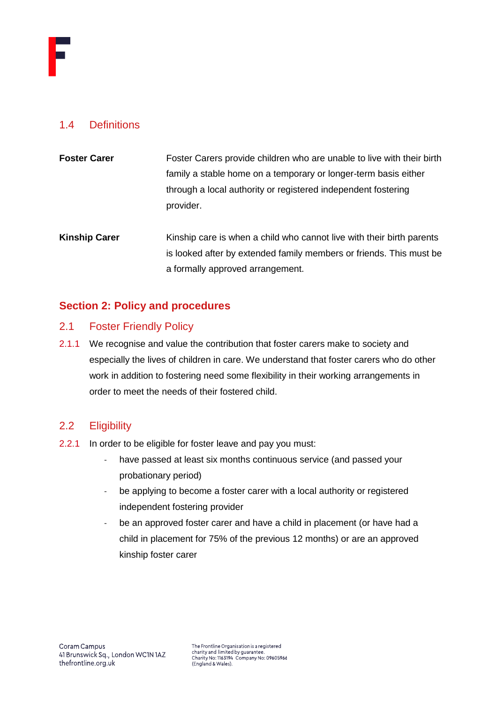

# <span id="page-2-0"></span>1.4 Definitions

| <b>Foster Carer</b> | Foster Carers provide children who are unable to live with their birth |
|---------------------|------------------------------------------------------------------------|
|                     | family a stable home on a temporary or longer-term basis either        |
|                     | through a local authority or registered independent fostering          |
|                     | provider.                                                              |
|                     |                                                                        |

**Kinship Carer** Kinship care is when a child who cannot live with their birth parents is looked after by extended family members or friends. This must be a formally approved arrangement.

# <span id="page-2-1"></span>**Section 2: Policy and procedures**

# <span id="page-2-2"></span>2.1 Foster Friendly Policy

2.1.1 We recognise and value the contribution that foster carers make to society and especially the lives of children in care. We understand that foster carers who do other work in addition to fostering need some flexibility in their working arrangements in order to meet the needs of their fostered child.

# <span id="page-2-3"></span>2.2 Eligibility

- 2.2.1 In order to be eligible for foster leave and pay you must:
	- have passed at least six months continuous service (and passed your probationary period)
	- be applying to become a foster carer with a local authority or registered independent fostering provider
	- be an approved foster carer and have a child in placement (or have had a child in placement for 75% of the previous 12 months) or are an approved kinship foster carer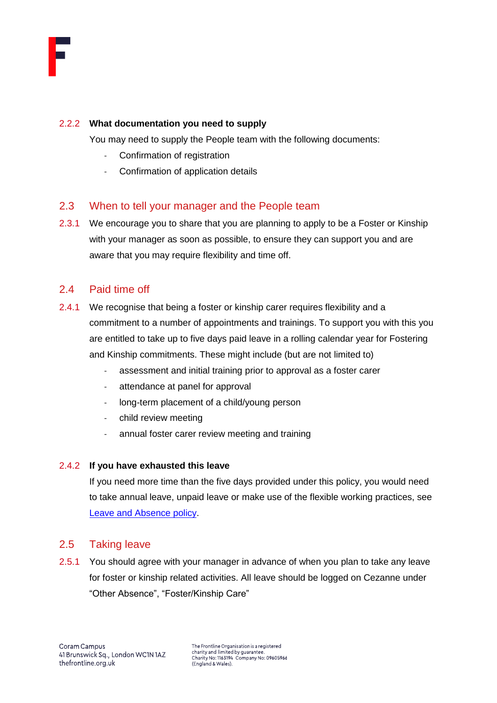

#### 2.2.2 **What documentation you need to supply**

You may need to supply the People team with the following documents:

- Confirmation of registration
- Confirmation of application details

## <span id="page-3-0"></span>2.3 When to tell your manager and the People team

2.3.1 We encourage you to share that you are planning to apply to be a Foster or Kinship with your manager as soon as possible, to ensure they can support you and are aware that you may require flexibility and time off.

#### <span id="page-3-1"></span>2.4 Paid time off

- 2.4.1 We recognise that being a foster or kinship carer requires flexibility and a commitment to a number of appointments and trainings. To support you with this you are entitled to take up to five days paid leave in a rolling calendar year for Fostering and Kinship commitments. These might include (but are not limited to)
	- assessment and initial training prior to approval as a foster carer
	- attendance at panel for approval
	- long-term placement of a child/young person
	- child review meeting
	- annual foster carer review meeting and training

#### 2.4.2 **If you have exhausted this leave**

If you need more time than the five days provided under this policy, you would need to take annual leave, unpaid leave or make use of the flexible working practices, see [Leave and Absence policy.](https://thefrontline.sharepoint.com/:b:/r/sites/FBRB/Shared%20Documents/Operations/People/General/Leave%20and%20Absence%20Policy%202021.04.pdf?csf=1&web=1&e=Xx90aR)

# <span id="page-3-2"></span>2.5 Taking leave

2.5.1 You should agree with your manager in advance of when you plan to take any leave for foster or kinship related activities. All leave should be logged on Cezanne under "Other Absence", "Foster/Kinship Care"